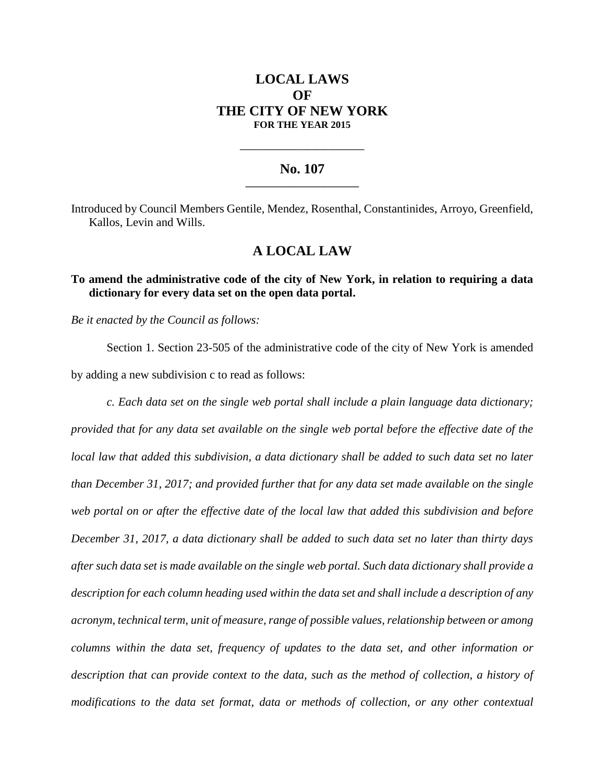# **LOCAL LAWS OF THE CITY OF NEW YORK FOR THE YEAR 2015**

#### **No. 107 \_\_\_\_\_\_\_\_\_\_\_\_\_\_\_\_\_\_\_\_\_\_\_**

**\_\_\_\_\_\_\_\_\_\_\_\_\_\_\_\_\_\_\_\_\_\_\_\_\_\_\_\_**

Introduced by Council Members Gentile, Mendez, Rosenthal, Constantinides, Arroyo, Greenfield, Kallos, Levin and Wills.

## **A LOCAL LAW**

### **To amend the administrative code of the city of New York, in relation to requiring a data dictionary for every data set on the open data portal.**

*Be it enacted by the Council as follows:*

Section 1. Section 23-505 of the administrative code of the city of New York is amended by adding a new subdivision c to read as follows:

*c. Each data set on the single web portal shall include a plain language data dictionary; provided that for any data set available on the single web portal before the effective date of the local law that added this subdivision, a data dictionary shall be added to such data set no later than December 31, 2017; and provided further that for any data set made available on the single web portal on or after the effective date of the local law that added this subdivision and before December 31, 2017, a data dictionary shall be added to such data set no later than thirty days after such data set is made available on the single web portal. Such data dictionary shall provide a description for each column heading used within the data set and shall include a description of any acronym, technical term, unit of measure, range of possible values, relationship between or among columns within the data set, frequency of updates to the data set, and other information or description that can provide context to the data, such as the method of collection, a history of modifications to the data set format, data or methods of collection, or any other contextual*